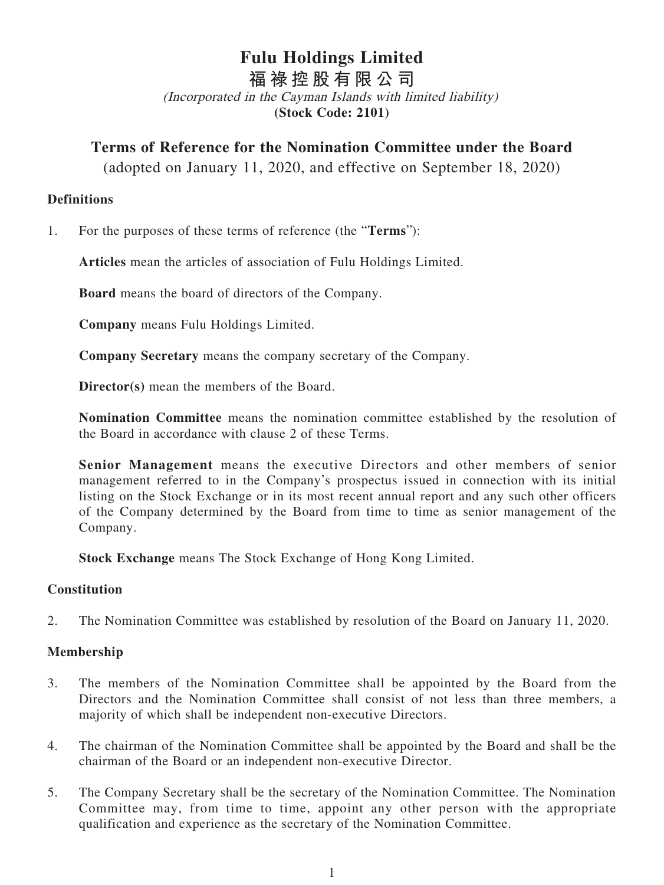# **Fulu Holdings Limited**

**福祿控股有限公司**

(Incorporated in the Cayman Islands with limited liability) **(Stock Code: 2101)**

## **Terms of Reference for the Nomination Committee under the Board**

(adopted on January 11, 2020, and effective on September 18, 2020)

#### **Definitions**

1. For the purposes of these terms of reference (the "**Terms**"):

**Articles** mean the articles of association of Fulu Holdings Limited.

**Board** means the board of directors of the Company.

**Company** means Fulu Holdings Limited.

**Company Secretary** means the company secretary of the Company.

**Director(s)** mean the members of the Board.

**Nomination Committee** means the nomination committee established by the resolution of the Board in accordance with clause 2 of these Terms.

**Senior Management** means the executive Directors and other members of senior management referred to in the Company's prospectus issued in connection with its initial listing on the Stock Exchange or in its most recent annual report and any such other officers of the Company determined by the Board from time to time as senior management of the Company.

**Stock Exchange** means The Stock Exchange of Hong Kong Limited.

#### **Constitution**

2. The Nomination Committee was established by resolution of the Board on January 11, 2020.

## **Membership**

- 3. The members of the Nomination Committee shall be appointed by the Board from the Directors and the Nomination Committee shall consist of not less than three members, a majority of which shall be independent non-executive Directors.
- 4. The chairman of the Nomination Committee shall be appointed by the Board and shall be the chairman of the Board or an independent non-executive Director.
- 5. The Company Secretary shall be the secretary of the Nomination Committee. The Nomination Committee may, from time to time, appoint any other person with the appropriate qualification and experience as the secretary of the Nomination Committee.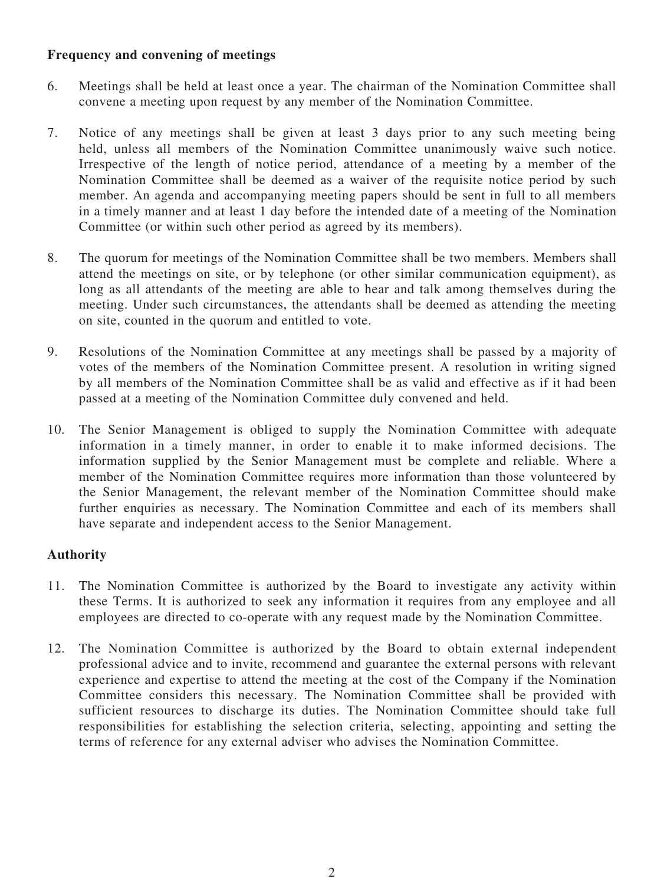#### **Frequency and convening of meetings**

- 6. Meetings shall be held at least once a year. The chairman of the Nomination Committee shall convene a meeting upon request by any member of the Nomination Committee.
- 7. Notice of any meetings shall be given at least 3 days prior to any such meeting being held, unless all members of the Nomination Committee unanimously waive such notice. Irrespective of the length of notice period, attendance of a meeting by a member of the Nomination Committee shall be deemed as a waiver of the requisite notice period by such member. An agenda and accompanying meeting papers should be sent in full to all members in a timely manner and at least 1 day before the intended date of a meeting of the Nomination Committee (or within such other period as agreed by its members).
- 8. The quorum for meetings of the Nomination Committee shall be two members. Members shall attend the meetings on site, or by telephone (or other similar communication equipment), as long as all attendants of the meeting are able to hear and talk among themselves during the meeting. Under such circumstances, the attendants shall be deemed as attending the meeting on site, counted in the quorum and entitled to vote.
- 9. Resolutions of the Nomination Committee at any meetings shall be passed by a majority of votes of the members of the Nomination Committee present. A resolution in writing signed by all members of the Nomination Committee shall be as valid and effective as if it had been passed at a meeting of the Nomination Committee duly convened and held.
- 10. The Senior Management is obliged to supply the Nomination Committee with adequate information in a timely manner, in order to enable it to make informed decisions. The information supplied by the Senior Management must be complete and reliable. Where a member of the Nomination Committee requires more information than those volunteered by the Senior Management, the relevant member of the Nomination Committee should make further enquiries as necessary. The Nomination Committee and each of its members shall have separate and independent access to the Senior Management.

## **Authority**

- 11. The Nomination Committee is authorized by the Board to investigate any activity within these Terms. It is authorized to seek any information it requires from any employee and all employees are directed to co-operate with any request made by the Nomination Committee.
- 12. The Nomination Committee is authorized by the Board to obtain external independent professional advice and to invite, recommend and guarantee the external persons with relevant experience and expertise to attend the meeting at the cost of the Company if the Nomination Committee considers this necessary. The Nomination Committee shall be provided with sufficient resources to discharge its duties. The Nomination Committee should take full responsibilities for establishing the selection criteria, selecting, appointing and setting the terms of reference for any external adviser who advises the Nomination Committee.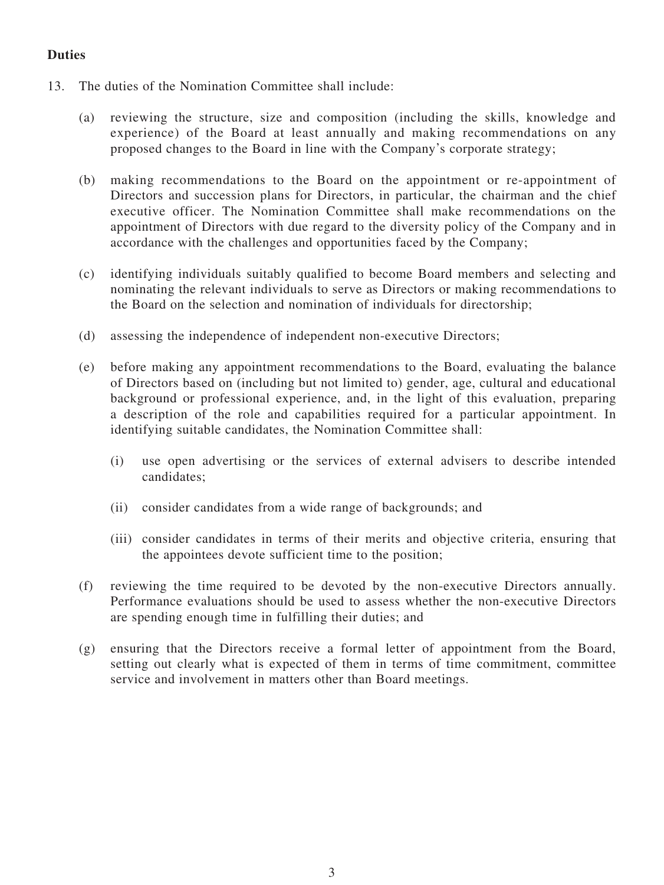#### **Duties**

- 13. The duties of the Nomination Committee shall include:
	- (a) reviewing the structure, size and composition (including the skills, knowledge and experience) of the Board at least annually and making recommendations on any proposed changes to the Board in line with the Company's corporate strategy;
	- (b) making recommendations to the Board on the appointment or re-appointment of Directors and succession plans for Directors, in particular, the chairman and the chief executive officer. The Nomination Committee shall make recommendations on the appointment of Directors with due regard to the diversity policy of the Company and in accordance with the challenges and opportunities faced by the Company;
	- (c) identifying individuals suitably qualified to become Board members and selecting and nominating the relevant individuals to serve as Directors or making recommendations to the Board on the selection and nomination of individuals for directorship;
	- (d) assessing the independence of independent non-executive Directors;
	- (e) before making any appointment recommendations to the Board, evaluating the balance of Directors based on (including but not limited to) gender, age, cultural and educational background or professional experience, and, in the light of this evaluation, preparing a description of the role and capabilities required for a particular appointment. In identifying suitable candidates, the Nomination Committee shall:
		- (i) use open advertising or the services of external advisers to describe intended candidates;
		- (ii) consider candidates from a wide range of backgrounds; and
		- (iii) consider candidates in terms of their merits and objective criteria, ensuring that the appointees devote sufficient time to the position;
	- (f) reviewing the time required to be devoted by the non-executive Directors annually. Performance evaluations should be used to assess whether the non-executive Directors are spending enough time in fulfilling their duties; and
	- (g) ensuring that the Directors receive a formal letter of appointment from the Board, setting out clearly what is expected of them in terms of time commitment, committee service and involvement in matters other than Board meetings.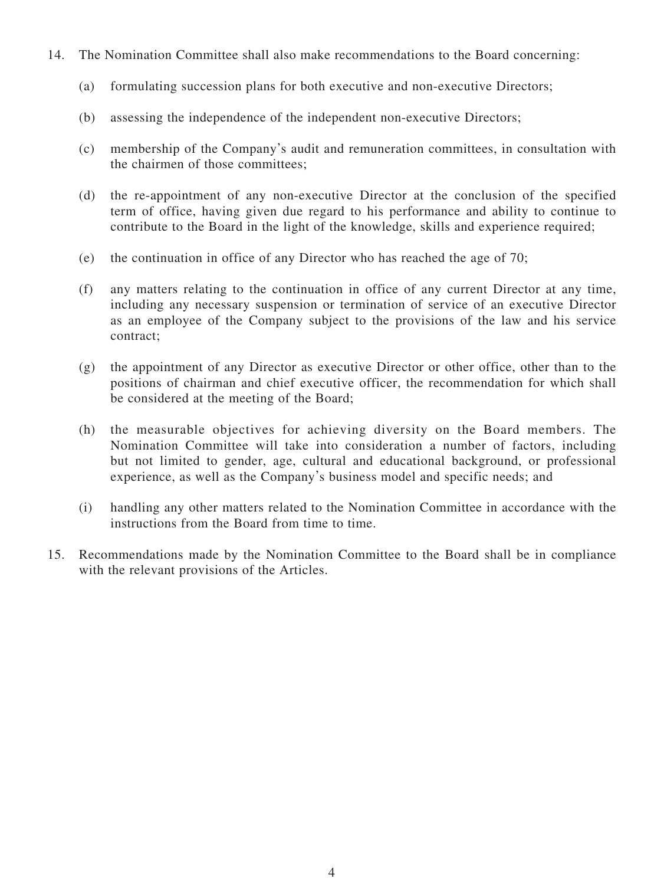- 14. The Nomination Committee shall also make recommendations to the Board concerning:
	- (a) formulating succession plans for both executive and non-executive Directors;
	- (b) assessing the independence of the independent non-executive Directors;
	- (c) membership of the Company's audit and remuneration committees, in consultation with the chairmen of those committees;
	- (d) the re-appointment of any non-executive Director at the conclusion of the specified term of office, having given due regard to his performance and ability to continue to contribute to the Board in the light of the knowledge, skills and experience required;
	- (e) the continuation in office of any Director who has reached the age of 70;
	- (f) any matters relating to the continuation in office of any current Director at any time, including any necessary suspension or termination of service of an executive Director as an employee of the Company subject to the provisions of the law and his service contract;
	- (g) the appointment of any Director as executive Director or other office, other than to the positions of chairman and chief executive officer, the recommendation for which shall be considered at the meeting of the Board;
	- (h) the measurable objectives for achieving diversity on the Board members. The Nomination Committee will take into consideration a number of factors, including but not limited to gender, age, cultural and educational background, or professional experience, as well as the Company's business model and specific needs; and
	- (i) handling any other matters related to the Nomination Committee in accordance with the instructions from the Board from time to time.
- 15. Recommendations made by the Nomination Committee to the Board shall be in compliance with the relevant provisions of the Articles.